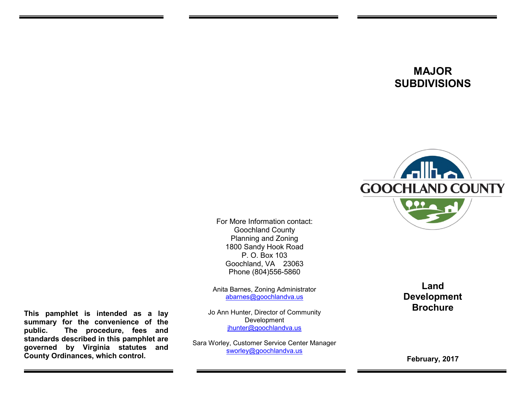# **MAJOR SUBDIVISIONS**



For More Information contact: Goochland County Planning and Zoning 1800 Sandy Hook Road P. O. Box 103 Goochland, VA 23063 Phone (804)556-5860

Anita Barnes, Zoning Administrator [abarnes@goochlandva.us](mailto:abarnes@goochlandva.us)

Jo Ann Hunter, Director of Community Development [jhunter@goochlandva.us](mailto:jhunter@goochlandva.us)

Sara Worley, Customer Service Center Manager [sworley@goochlandva.us](mailto:sworley@goochlandva.us)

**Land Development Brochure**

**February, 2017**

**This pamphlet is intended as a lay summary for the convenience of the public. The procedure, fees and standards described in this pamphlet are governed by Virginia statutes and County Ordinances, which control.**